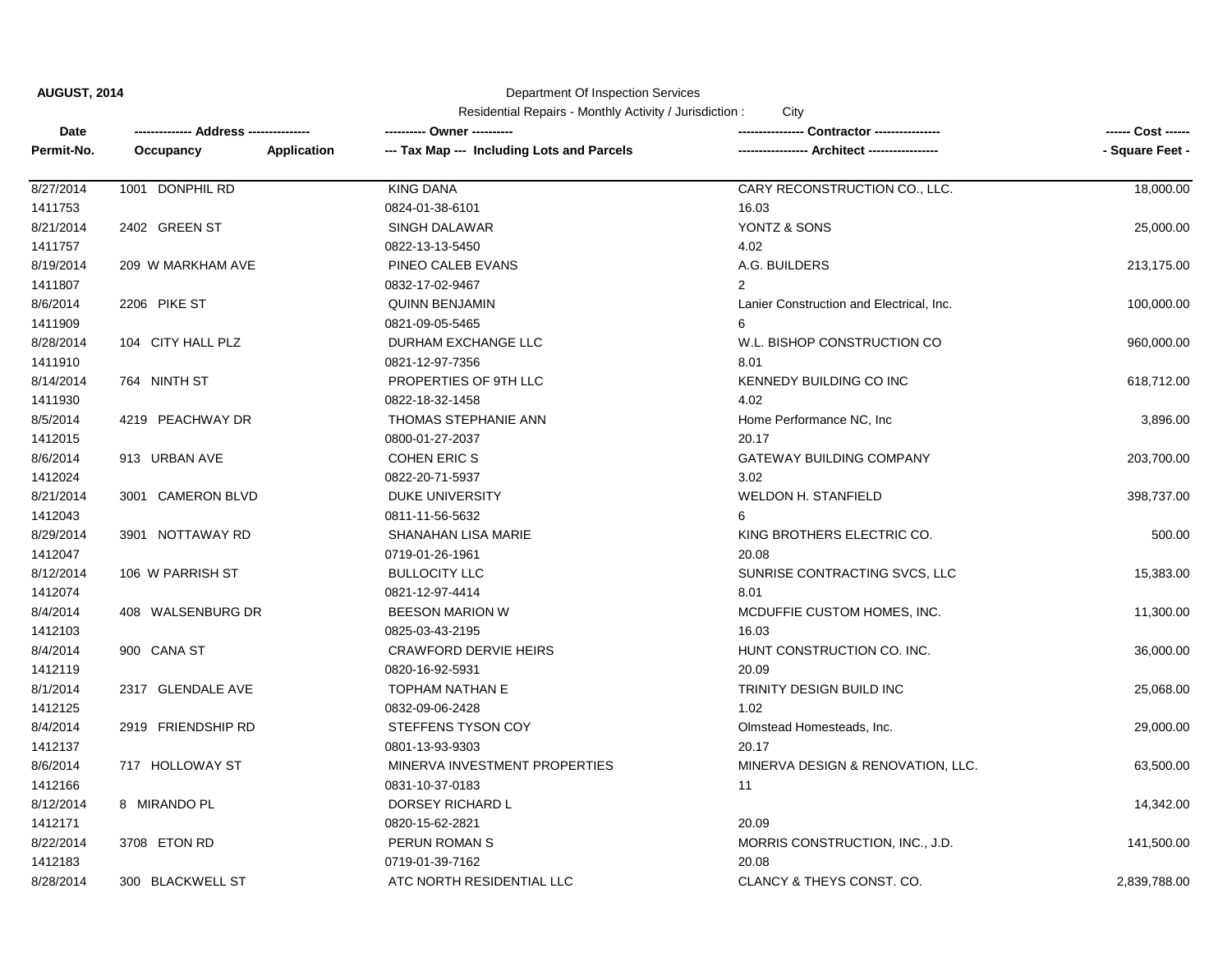Department Of Inspection Services

| Date       |                    |             | ---------- Owner ----------                |                                          | ------ Cost ------ |
|------------|--------------------|-------------|--------------------------------------------|------------------------------------------|--------------------|
| Permit-No. | Occupancy          | Application | --- Tax Map --- Including Lots and Parcels |                                          | - Square Feet -    |
| 8/27/2014  | 1001 DONPHIL RD    |             | <b>KING DANA</b>                           | CARY RECONSTRUCTION CO., LLC.            | 18,000.00          |
| 1411753    |                    |             | 0824-01-38-6101                            | 16.03                                    |                    |
| 8/21/2014  | 2402 GREEN ST      |             | <b>SINGH DALAWAR</b>                       | YONTZ & SONS                             | 25,000.00          |
| 1411757    |                    |             | 0822-13-13-5450                            | 4.02                                     |                    |
| 8/19/2014  | 209 W MARKHAM AVE  |             | PINEO CALEB EVANS                          | A.G. BUILDERS                            | 213,175.00         |
| 1411807    |                    |             | 0832-17-02-9467                            | $\overline{2}$                           |                    |
| 8/6/2014   | 2206 PIKE ST       |             | <b>QUINN BENJAMIN</b>                      | Lanier Construction and Electrical, Inc. | 100,000.00         |
| 1411909    |                    |             | 0821-09-05-5465                            | 6                                        |                    |
| 8/28/2014  | 104 CITY HALL PLZ  |             | DURHAM EXCHANGE LLC                        | W.L. BISHOP CONSTRUCTION CO              | 960,000.00         |
| 1411910    |                    |             | 0821-12-97-7356                            | 8.01                                     |                    |
| 8/14/2014  | 764 NINTH ST       |             | PROPERTIES OF 9TH LLC                      | KENNEDY BUILDING CO INC                  | 618,712.00         |
| 1411930    |                    |             | 0822-18-32-1458                            | 4.02                                     |                    |
| 8/5/2014   | 4219 PEACHWAY DR   |             | THOMAS STEPHANIE ANN                       | Home Performance NC, Inc.                | 3,896.00           |
| 1412015    |                    |             | 0800-01-27-2037                            | 20.17                                    |                    |
| 8/6/2014   | 913 URBAN AVE      |             | <b>COHEN ERIC S</b>                        | <b>GATEWAY BUILDING COMPANY</b>          | 203,700.00         |
| 1412024    |                    |             | 0822-20-71-5937                            | 3.02                                     |                    |
| 8/21/2014  | 3001 CAMERON BLVD  |             | <b>DUKE UNIVERSITY</b>                     | <b>WELDON H. STANFIELD</b>               | 398,737.00         |
| 1412043    |                    |             | 0811-11-56-5632                            | 6                                        |                    |
| 8/29/2014  | 3901 NOTTAWAY RD   |             | SHANAHAN LISA MARIE                        | KING BROTHERS ELECTRIC CO.               | 500.00             |
| 1412047    |                    |             | 0719-01-26-1961                            | 20.08                                    |                    |
| 8/12/2014  | 106 W PARRISH ST   |             | <b>BULLOCITY LLC</b>                       | SUNRISE CONTRACTING SVCS, LLC            | 15,383.00          |
| 1412074    |                    |             | 0821-12-97-4414                            | 8.01                                     |                    |
| 8/4/2014   | 408 WALSENBURG DR  |             | <b>BEESON MARION W</b>                     | MCDUFFIE CUSTOM HOMES, INC.              | 11,300.00          |
| 1412103    |                    |             | 0825-03-43-2195                            | 16.03                                    |                    |
| 8/4/2014   | 900 CANA ST        |             | <b>CRAWFORD DERVIE HEIRS</b>               | HUNT CONSTRUCTION CO. INC.               | 36,000.00          |
| 1412119    |                    |             | 0820-16-92-5931                            | 20.09                                    |                    |
| 8/1/2014   | 2317 GLENDALE AVE  |             | <b>TOPHAM NATHAN E</b>                     | TRINITY DESIGN BUILD INC                 | 25,068.00          |
| 1412125    |                    |             | 0832-09-06-2428                            | 1.02                                     |                    |
| 8/4/2014   | 2919 FRIENDSHIP RD |             | STEFFENS TYSON COY                         | Olmstead Homesteads, Inc.                | 29,000.00          |
| 1412137    |                    |             | 0801-13-93-9303                            | 20.17                                    |                    |
| 8/6/2014   | 717 HOLLOWAY ST    |             | MINERVA INVESTMENT PROPERTIES              | MINERVA DESIGN & RENOVATION, LLC.        | 63,500.00          |
| 1412166    |                    |             | 0831-10-37-0183                            | 11                                       |                    |
| 8/12/2014  | 8 MIRANDO PL       |             | DORSEY RICHARD L                           |                                          | 14,342.00          |
| 1412171    |                    |             | 0820-15-62-2821                            | 20.09                                    |                    |
| 8/22/2014  | 3708 ETON RD       |             | PERUN ROMAN S                              | MORRIS CONSTRUCTION, INC., J.D.          | 141,500.00         |
| 1412183    |                    |             | 0719-01-39-7162                            | 20.08                                    |                    |
| 8/28/2014  | 300 BLACKWELL ST   |             | ATC NORTH RESIDENTIAL LLC                  | CLANCY & THEYS CONST. CO.                | 2,839,788.00       |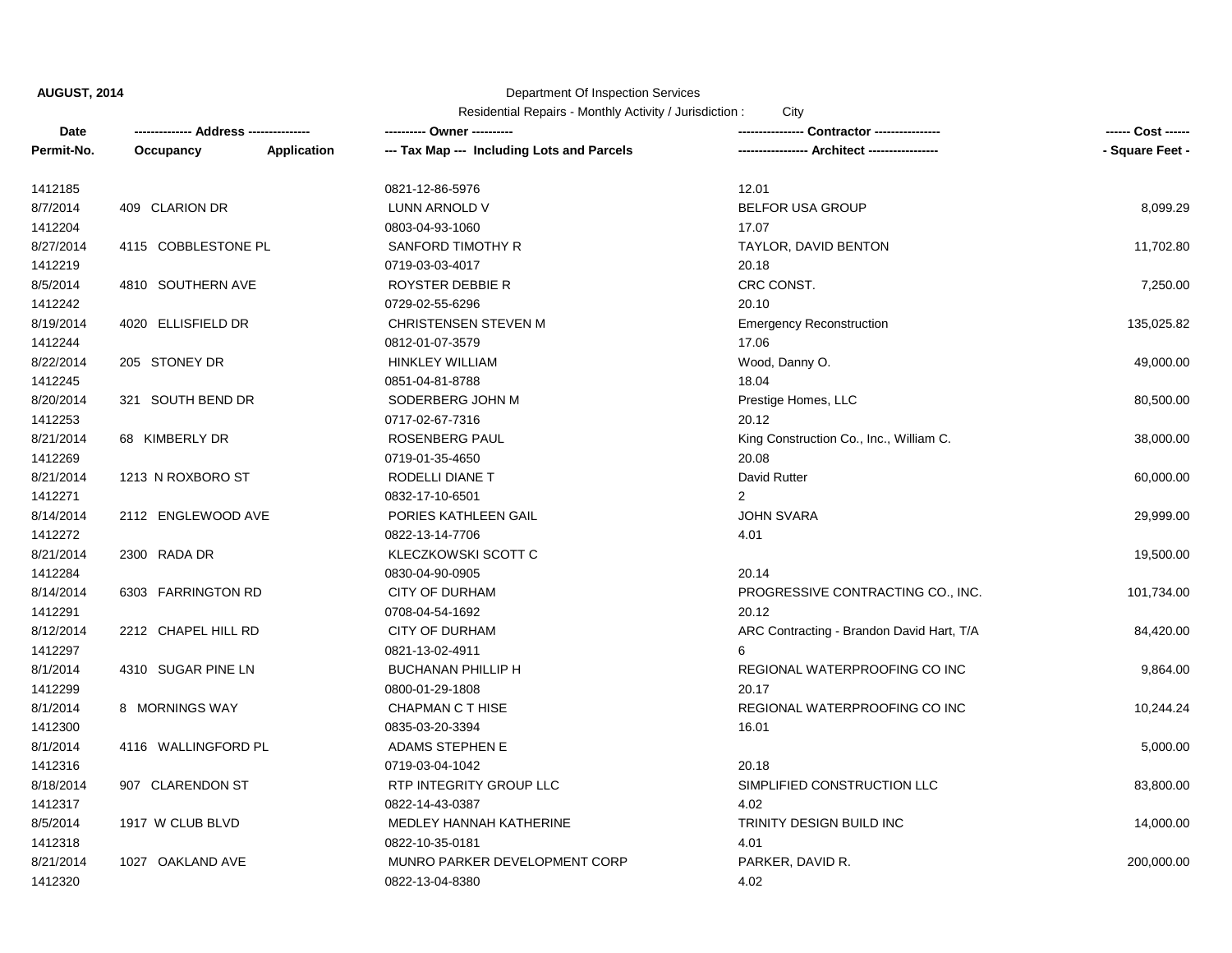## Department Of Inspection Services

| Date       | -------------- Address --------------- |                    | --------- Owner ----------                 |                                           | ------ Cost ------ |
|------------|----------------------------------------|--------------------|--------------------------------------------|-------------------------------------------|--------------------|
| Permit-No. | Occupancy                              | <b>Application</b> | --- Tax Map --- Including Lots and Parcels | -- Architect -----------------            | - Square Feet -    |
| 1412185    |                                        |                    | 0821-12-86-5976                            | 12.01                                     |                    |
| 8/7/2014   | 409 CLARION DR                         |                    | LUNN ARNOLD V                              | <b>BELFOR USA GROUP</b>                   | 8,099.29           |
| 1412204    |                                        |                    | 0803-04-93-1060                            | 17.07                                     |                    |
| 8/27/2014  | 4115 COBBLESTONE PL                    |                    | SANFORD TIMOTHY R                          | TAYLOR, DAVID BENTON                      | 11,702.80          |
| 1412219    |                                        |                    | 0719-03-03-4017                            | 20.18                                     |                    |
| 8/5/2014   | 4810 SOUTHERN AVE                      |                    | ROYSTER DEBBIE R                           | CRC CONST.                                | 7,250.00           |
| 1412242    |                                        |                    | 0729-02-55-6296                            | 20.10                                     |                    |
| 8/19/2014  | 4020 ELLISFIELD DR                     |                    | <b>CHRISTENSEN STEVEN M</b>                | <b>Emergency Reconstruction</b>           | 135,025.82         |
| 1412244    |                                        |                    | 0812-01-07-3579                            | 17.06                                     |                    |
| 8/22/2014  | 205 STONEY DR                          |                    | <b>HINKLEY WILLIAM</b>                     | Wood, Danny O.                            | 49,000.00          |
| 1412245    |                                        |                    | 0851-04-81-8788                            | 18.04                                     |                    |
| 8/20/2014  | 321 SOUTH BEND DR                      |                    | SODERBERG JOHN M                           | Prestige Homes, LLC                       | 80,500.00          |
| 1412253    |                                        |                    | 0717-02-67-7316                            | 20.12                                     |                    |
| 8/21/2014  | 68 KIMBERLY DR                         |                    | ROSENBERG PAUL                             | King Construction Co., Inc., William C.   | 38,000.00          |
| 1412269    |                                        |                    | 0719-01-35-4650                            | 20.08                                     |                    |
| 8/21/2014  | 1213 N ROXBORO ST                      |                    | RODELLI DIANE T                            | David Rutter                              | 60,000.00          |
| 1412271    |                                        |                    | 0832-17-10-6501                            | 2                                         |                    |
| 8/14/2014  | 2112 ENGLEWOOD AVE                     |                    | PORIES KATHLEEN GAIL                       | <b>JOHN SVARA</b>                         | 29,999.00          |
| 1412272    |                                        |                    | 0822-13-14-7706                            | 4.01                                      |                    |
| 8/21/2014  | 2300 RADA DR                           |                    | KLECZKOWSKI SCOTT C                        |                                           | 19,500.00          |
| 1412284    |                                        |                    | 0830-04-90-0905                            | 20.14                                     |                    |
| 8/14/2014  | 6303 FARRINGTON RD                     |                    | <b>CITY OF DURHAM</b>                      | PROGRESSIVE CONTRACTING CO., INC.         | 101,734.00         |
| 1412291    |                                        |                    | 0708-04-54-1692                            | 20.12                                     |                    |
| 8/12/2014  | 2212 CHAPEL HILL RD                    |                    | <b>CITY OF DURHAM</b>                      | ARC Contracting - Brandon David Hart, T/A | 84,420.00          |
| 1412297    |                                        |                    | 0821-13-02-4911                            | 6                                         |                    |
| 8/1/2014   | 4310 SUGAR PINE LN                     |                    | <b>BUCHANAN PHILLIP H</b>                  | REGIONAL WATERPROOFING CO INC             | 9,864.00           |
| 1412299    |                                        |                    | 0800-01-29-1808                            | 20.17                                     |                    |
| 8/1/2014   | 8 MORNINGS WAY                         |                    | CHAPMAN C T HISE                           | REGIONAL WATERPROOFING CO INC             | 10,244.24          |
| 1412300    |                                        |                    | 0835-03-20-3394                            | 16.01                                     |                    |
| 8/1/2014   | 4116 WALLINGFORD PL                    |                    | ADAMS STEPHEN E                            |                                           | 5,000.00           |
| 1412316    |                                        |                    | 0719-03-04-1042                            | 20.18                                     |                    |
| 8/18/2014  | 907 CLARENDON ST                       |                    | RTP INTEGRITY GROUP LLC                    | SIMPLIFIED CONSTRUCTION LLC               | 83,800.00          |
| 1412317    |                                        |                    | 0822-14-43-0387                            | 4.02                                      |                    |
| 8/5/2014   | 1917 W CLUB BLVD                       |                    | MEDLEY HANNAH KATHERINE                    | TRINITY DESIGN BUILD INC                  | 14,000.00          |
| 1412318    |                                        |                    | 0822-10-35-0181                            | 4.01                                      |                    |
| 8/21/2014  | 1027 OAKLAND AVE                       |                    | MUNRO PARKER DEVELOPMENT CORP              | PARKER, DAVID R.                          | 200,000.00         |
| 1412320    |                                        |                    | 0822-13-04-8380                            | 4.02                                      |                    |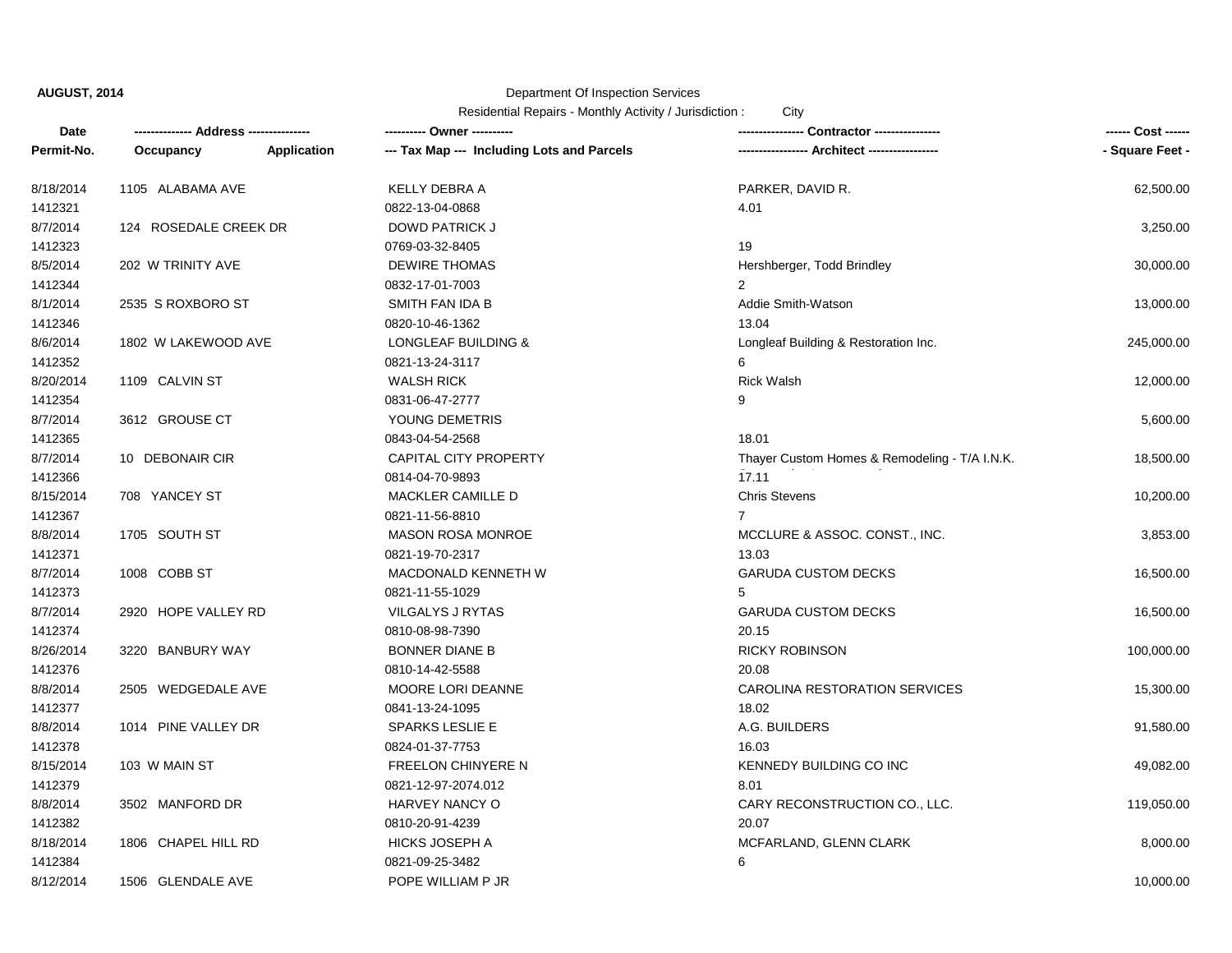# Department Of Inspection Services

| Date       | ------------- Address -------------- |             |                                            |                                               | ------ Cost ------ |
|------------|--------------------------------------|-------------|--------------------------------------------|-----------------------------------------------|--------------------|
| Permit-No. | Occupancy                            | Application | --- Tax Map --- Including Lots and Parcels |                                               | - Square Feet -    |
| 8/18/2014  | 1105 ALABAMA AVE                     |             | KELLY DEBRA A                              | PARKER, DAVID R.                              | 62,500.00          |
| 1412321    |                                      |             | 0822-13-04-0868                            | 4.01                                          |                    |
| 8/7/2014   | 124 ROSEDALE CREEK DR                |             | <b>DOWD PATRICK J</b>                      |                                               | 3,250.00           |
| 1412323    |                                      |             | 0769-03-32-8405                            | 19                                            |                    |
| 8/5/2014   | 202 W TRINITY AVE                    |             | <b>DEWIRE THOMAS</b>                       | Hershberger, Todd Brindley                    | 30,000.00          |
| 1412344    |                                      |             | 0832-17-01-7003                            | $\overline{2}$                                |                    |
| 8/1/2014   | 2535 S ROXBORO ST                    |             | SMITH FAN IDA B                            | Addie Smith-Watson                            | 13,000.00          |
| 1412346    |                                      |             | 0820-10-46-1362                            | 13.04                                         |                    |
| 8/6/2014   | 1802 W LAKEWOOD AVE                  |             | <b>LONGLEAF BUILDING &amp;</b>             | Longleaf Building & Restoration Inc.          | 245,000.00         |
| 1412352    |                                      |             | 0821-13-24-3117                            | 6                                             |                    |
| 8/20/2014  | 1109 CALVIN ST                       |             | <b>WALSH RICK</b>                          | <b>Rick Walsh</b>                             | 12,000.00          |
| 1412354    |                                      |             | 0831-06-47-2777                            | 9                                             |                    |
| 8/7/2014   | 3612 GROUSE CT                       |             | YOUNG DEMETRIS                             |                                               | 5,600.00           |
| 1412365    |                                      |             | 0843-04-54-2568                            | 18.01                                         |                    |
| 8/7/2014   | 10 DEBONAIR CIR                      |             | CAPITAL CITY PROPERTY                      | Thayer Custom Homes & Remodeling - T/A I.N.K. | 18,500.00          |
| 1412366    |                                      |             | 0814-04-70-9893                            | 17.11                                         |                    |
| 8/15/2014  | 708 YANCEY ST                        |             | MACKLER CAMILLE D                          | <b>Chris Stevens</b>                          | 10,200.00          |
| 1412367    |                                      |             | 0821-11-56-8810                            | $\overline{7}$                                |                    |
| 8/8/2014   | 1705 SOUTH ST                        |             | <b>MASON ROSA MONROE</b>                   | MCCLURE & ASSOC. CONST., INC.                 | 3,853.00           |
| 1412371    |                                      |             | 0821-19-70-2317                            | 13.03                                         |                    |
| 8/7/2014   | 1008 COBB ST                         |             | MACDONALD KENNETH W                        | <b>GARUDA CUSTOM DECKS</b>                    | 16,500.00          |
| 1412373    |                                      |             | 0821-11-55-1029                            | 5                                             |                    |
| 8/7/2014   | 2920 HOPE VALLEY RD                  |             | VILGALYS J RYTAS                           | <b>GARUDA CUSTOM DECKS</b>                    | 16,500.00          |
| 1412374    |                                      |             | 0810-08-98-7390                            | 20.15                                         |                    |
| 8/26/2014  | 3220 BANBURY WAY                     |             | <b>BONNER DIANE B</b>                      | <b>RICKY ROBINSON</b>                         | 100,000.00         |
| 1412376    |                                      |             | 0810-14-42-5588                            | 20.08                                         |                    |
| 8/8/2014   | 2505 WEDGEDALE AVE                   |             | MOORE LORI DEANNE                          | CAROLINA RESTORATION SERVICES                 | 15,300.00          |
| 1412377    |                                      |             | 0841-13-24-1095                            | 18.02                                         |                    |
| 8/8/2014   | 1014 PINE VALLEY DR                  |             | <b>SPARKS LESLIE E</b>                     | A.G. BUILDERS                                 | 91,580.00          |
| 1412378    |                                      |             | 0824-01-37-7753                            | 16.03                                         |                    |
| 8/15/2014  | 103 W MAIN ST                        |             | FREELON CHINYERE N                         | KENNEDY BUILDING CO INC                       | 49,082.00          |
| 1412379    |                                      |             | 0821-12-97-2074.012                        | 8.01                                          |                    |
| 8/8/2014   | 3502 MANFORD DR                      |             | HARVEY NANCY O                             | CARY RECONSTRUCTION CO., LLC.                 | 119,050.00         |
| 1412382    |                                      |             | 0810-20-91-4239                            | 20.07                                         |                    |
| 8/18/2014  | 1806 CHAPEL HILL RD                  |             | <b>HICKS JOSEPH A</b>                      | MCFARLAND, GLENN CLARK                        | 8,000.00           |
| 1412384    |                                      |             | 0821-09-25-3482                            | 6                                             |                    |
| 8/12/2014  | 1506 GLENDALE AVE                    |             | POPE WILLIAM P JR                          |                                               | 10,000.00          |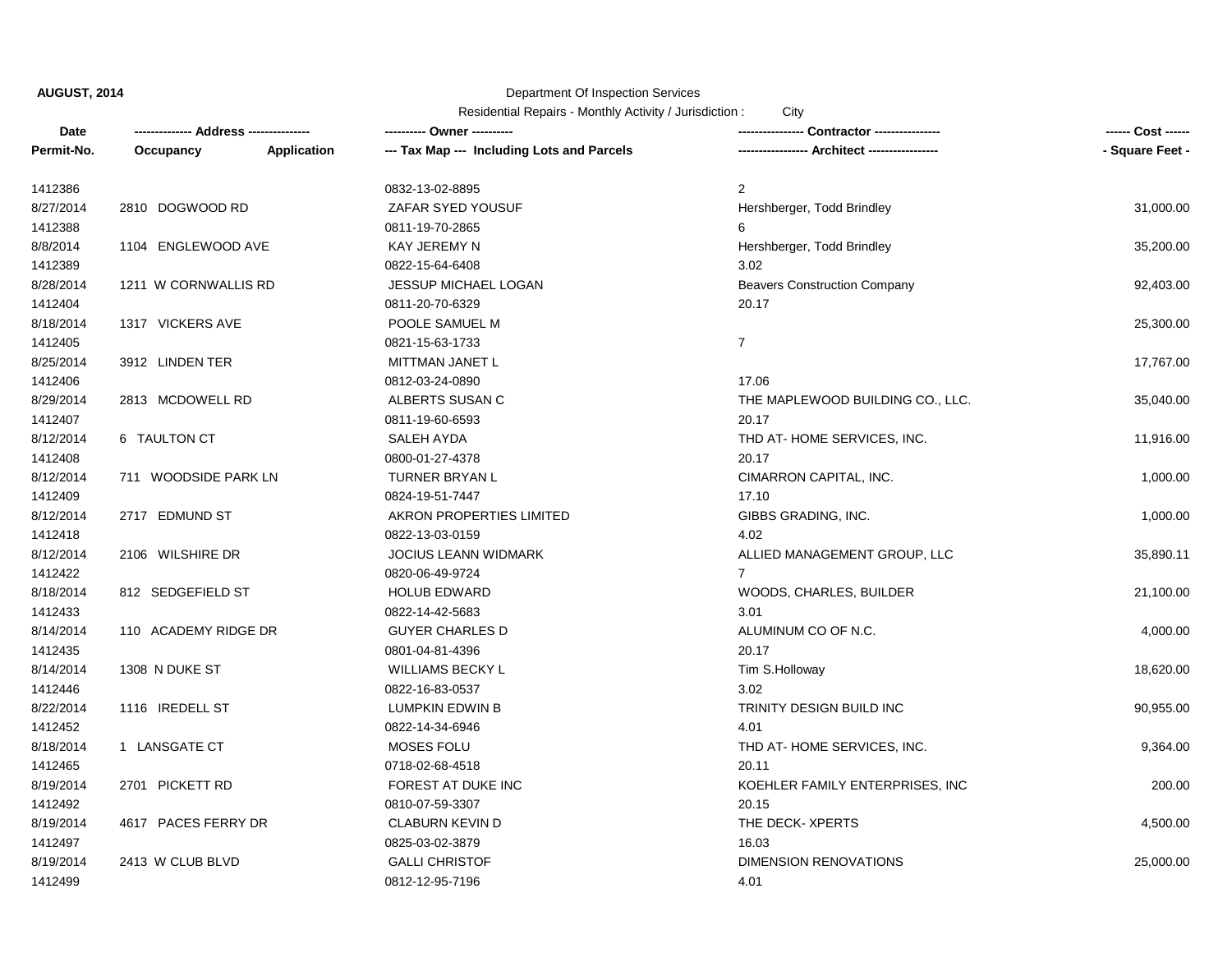## Department Of Inspection Services

| Date       | -------------- Address --------------- |             | ---------- Owner ----------                |                                             | ------ Cost ------ |
|------------|----------------------------------------|-------------|--------------------------------------------|---------------------------------------------|--------------------|
| Permit-No. | Occupancy                              | Application | --- Tax Map --- Including Lots and Parcels | ---------------- Architect ---------------- | - Square Feet -    |
| 1412386    |                                        |             | 0832-13-02-8895                            | $\overline{2}$                              |                    |
| 8/27/2014  | 2810 DOGWOOD RD                        |             | ZAFAR SYED YOUSUF                          | Hershberger, Todd Brindley                  | 31,000.00          |
| 1412388    |                                        |             | 0811-19-70-2865                            | 6                                           |                    |
| 8/8/2014   | 1104 ENGLEWOOD AVE                     |             | KAY JEREMY N                               | Hershberger, Todd Brindley                  | 35,200.00          |
| 1412389    |                                        |             | 0822-15-64-6408                            | 3.02                                        |                    |
| 8/28/2014  | 1211 W CORNWALLIS RD                   |             | JESSUP MICHAEL LOGAN                       | <b>Beavers Construction Company</b>         | 92,403.00          |
| 1412404    |                                        |             | 0811-20-70-6329                            | 20.17                                       |                    |
| 8/18/2014  | 1317 VICKERS AVE                       |             | POOLE SAMUEL M                             |                                             | 25,300.00          |
| 1412405    |                                        |             | 0821-15-63-1733                            | $\overline{7}$                              |                    |
| 8/25/2014  | 3912 LINDEN TER                        |             | MITTMAN JANET L                            |                                             | 17,767.00          |
| 1412406    |                                        |             | 0812-03-24-0890                            | 17.06                                       |                    |
| 8/29/2014  | 2813 MCDOWELL RD                       |             | ALBERTS SUSAN C                            | THE MAPLEWOOD BUILDING CO., LLC.            | 35,040.00          |
| 1412407    |                                        |             | 0811-19-60-6593                            | 20.17                                       |                    |
| 8/12/2014  | 6 TAULTON CT                           |             | SALEH AYDA                                 | THD AT-HOME SERVICES, INC.                  | 11,916.00          |
| 1412408    |                                        |             | 0800-01-27-4378                            | 20.17                                       |                    |
| 8/12/2014  | 711 WOODSIDE PARK LN                   |             | TURNER BRYAN L                             | CIMARRON CAPITAL, INC.                      | 1,000.00           |
| 1412409    |                                        |             | 0824-19-51-7447                            | 17.10                                       |                    |
| 8/12/2014  | 2717 EDMUND ST                         |             | AKRON PROPERTIES LIMITED                   | GIBBS GRADING, INC.                         | 1,000.00           |
| 1412418    |                                        |             | 0822-13-03-0159                            | 4.02                                        |                    |
| 8/12/2014  | 2106 WILSHIRE DR                       |             | <b>JOCIUS LEANN WIDMARK</b>                | ALLIED MANAGEMENT GROUP, LLC                | 35,890.11          |
| 1412422    |                                        |             | 0820-06-49-9724                            | $7^{\circ}$                                 |                    |
| 8/18/2014  | 812 SEDGEFIELD ST                      |             | <b>HOLUB EDWARD</b>                        | WOODS, CHARLES, BUILDER                     | 21,100.00          |
| 1412433    |                                        |             | 0822-14-42-5683                            | 3.01                                        |                    |
| 8/14/2014  | 110 ACADEMY RIDGE DR                   |             | <b>GUYER CHARLES D</b>                     | ALUMINUM CO OF N.C.                         | 4,000.00           |
| 1412435    |                                        |             | 0801-04-81-4396                            | 20.17                                       |                    |
| 8/14/2014  | 1308 N DUKE ST                         |             | <b>WILLIAMS BECKY L</b>                    | Tim S.Holloway                              | 18,620.00          |
| 1412446    |                                        |             | 0822-16-83-0537                            | 3.02                                        |                    |
| 8/22/2014  | 1116 IREDELL ST                        |             | LUMPKIN EDWIN B                            | TRINITY DESIGN BUILD INC                    | 90,955.00          |
| 1412452    |                                        |             | 0822-14-34-6946                            | 4.01                                        |                    |
| 8/18/2014  | 1 LANSGATE CT                          |             | MOSES FOLU                                 | THD AT-HOME SERVICES, INC.                  | 9,364.00           |
| 1412465    |                                        |             | 0718-02-68-4518                            | 20.11                                       |                    |
| 8/19/2014  | 2701 PICKETT RD                        |             | FOREST AT DUKE INC                         | KOEHLER FAMILY ENTERPRISES, INC             | 200.00             |
| 1412492    |                                        |             | 0810-07-59-3307                            | 20.15                                       |                    |
| 8/19/2014  | 4617 PACES FERRY DR                    |             | <b>CLABURN KEVIN D</b>                     | THE DECK-XPERTS                             | 4,500.00           |
| 1412497    |                                        |             | 0825-03-02-3879                            | 16.03                                       |                    |
| 8/19/2014  | 2413 W CLUB BLVD                       |             | <b>GALLI CHRISTOF</b>                      | <b>DIMENSION RENOVATIONS</b>                | 25,000.00          |
| 1412499    |                                        |             | 0812-12-95-7196                            | 4.01                                        |                    |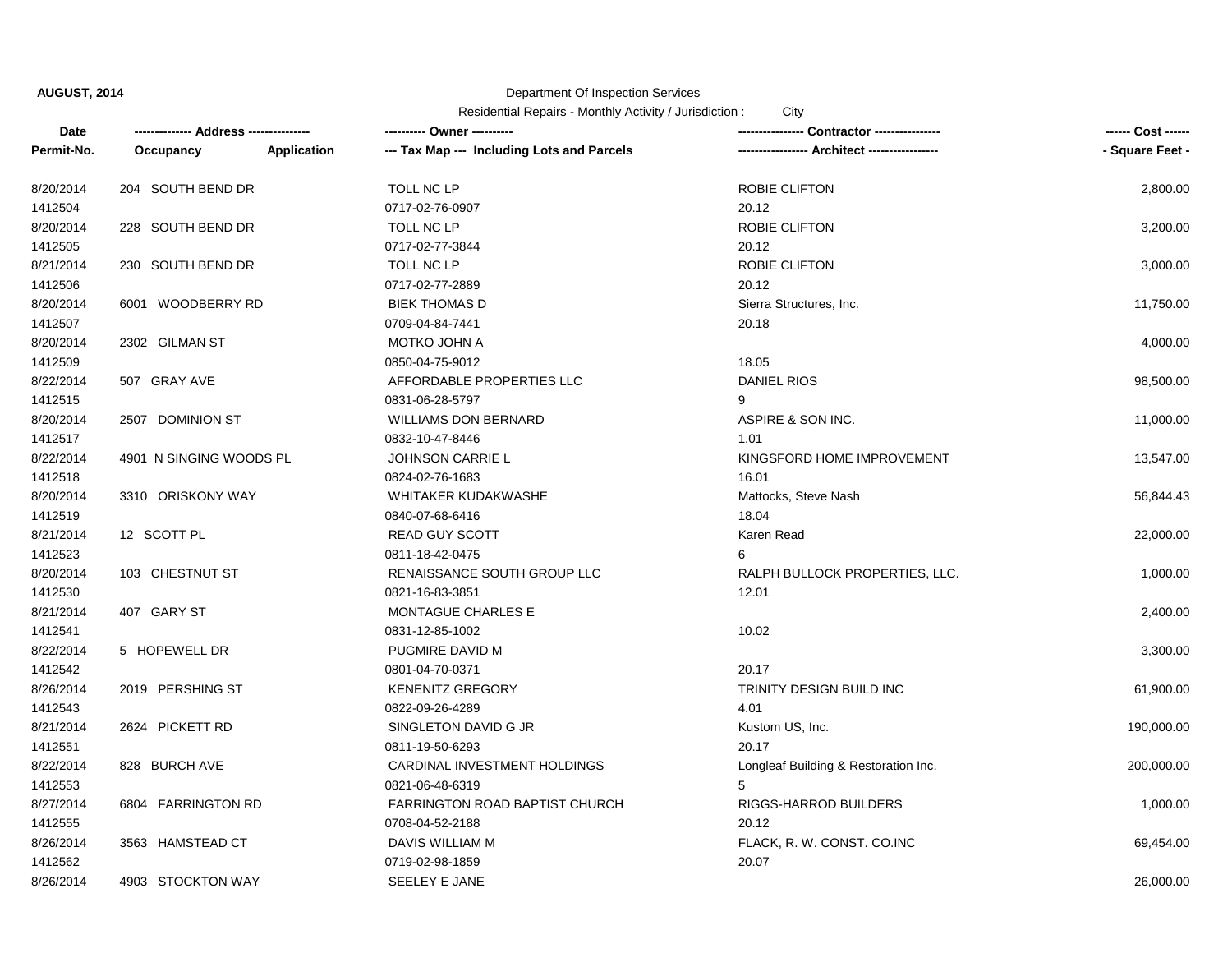## Department Of Inspection Services

| <b>Date</b> |                         |             | ---------- Owner ----------                | Contractor ----------------          | ------ Cost ------ |
|-------------|-------------------------|-------------|--------------------------------------------|--------------------------------------|--------------------|
| Permit-No.  | Occupancy               | Application | --- Tax Map --- Including Lots and Parcels | -- Architect -----------------       | - Square Feet -    |
| 8/20/2014   | 204 SOUTH BEND DR       |             | TOLL NC LP                                 | ROBIE CLIFTON                        | 2,800.00           |
| 1412504     |                         |             | 0717-02-76-0907                            | 20.12                                |                    |
| 8/20/2014   | 228 SOUTH BEND DR       |             | TOLL NC LP                                 | ROBIE CLIFTON                        | 3,200.00           |
| 1412505     |                         |             | 0717-02-77-3844                            | 20.12                                |                    |
| 8/21/2014   | 230 SOUTH BEND DR       |             | TOLL NC LP                                 | <b>ROBIE CLIFTON</b>                 | 3,000.00           |
| 1412506     |                         |             | 0717-02-77-2889                            | 20.12                                |                    |
| 8/20/2014   | 6001 WOODBERRY RD       |             | <b>BIEK THOMAS D</b>                       | Sierra Structures, Inc.              | 11,750.00          |
| 1412507     |                         |             | 0709-04-84-7441                            | 20.18                                |                    |
| 8/20/2014   | 2302 GILMAN ST          |             | MOTKO JOHN A                               |                                      | 4,000.00           |
| 1412509     |                         |             | 0850-04-75-9012                            | 18.05                                |                    |
| 8/22/2014   | 507 GRAY AVE            |             | AFFORDABLE PROPERTIES LLC                  | DANIEL RIOS                          | 98,500.00          |
| 1412515     |                         |             | 0831-06-28-5797                            | 9                                    |                    |
| 8/20/2014   | 2507 DOMINION ST        |             | <b>WILLIAMS DON BERNARD</b>                | ASPIRE & SON INC.                    | 11,000.00          |
| 1412517     |                         |             | 0832-10-47-8446                            | 1.01                                 |                    |
| 8/22/2014   | 4901 N SINGING WOODS PL |             | <b>JOHNSON CARRIE L</b>                    | KINGSFORD HOME IMPROVEMENT           | 13,547.00          |
| 1412518     |                         |             | 0824-02-76-1683                            | 16.01                                |                    |
| 8/20/2014   | 3310 ORISKONY WAY       |             | WHITAKER KUDAKWASHE                        | Mattocks, Steve Nash                 | 56,844.43          |
| 1412519     |                         |             | 0840-07-68-6416                            | 18.04                                |                    |
| 8/21/2014   | 12 SCOTT PL             |             | <b>READ GUY SCOTT</b>                      | Karen Read                           | 22,000.00          |
| 1412523     |                         |             | 0811-18-42-0475                            | 6                                    |                    |
| 8/20/2014   | 103 CHESTNUT ST         |             | RENAISSANCE SOUTH GROUP LLC                | RALPH BULLOCK PROPERTIES, LLC.       | 1,000.00           |
| 1412530     |                         |             | 0821-16-83-3851                            | 12.01                                |                    |
| 8/21/2014   | 407 GARY ST             |             | MONTAGUE CHARLES E                         |                                      | 2,400.00           |
| 1412541     |                         |             | 0831-12-85-1002                            | 10.02                                |                    |
| 8/22/2014   | 5 HOPEWELL DR           |             | PUGMIRE DAVID M                            |                                      | 3,300.00           |
| 1412542     |                         |             | 0801-04-70-0371                            | 20.17                                |                    |
| 8/26/2014   | 2019 PERSHING ST        |             | <b>KENENITZ GREGORY</b>                    | TRINITY DESIGN BUILD INC             | 61,900.00          |
| 1412543     |                         |             | 0822-09-26-4289                            | 4.01                                 |                    |
| 8/21/2014   | 2624 PICKETT RD         |             | SINGLETON DAVID G JR                       | Kustom US, Inc.                      | 190,000.00         |
| 1412551     |                         |             | 0811-19-50-6293                            | 20.17                                |                    |
| 8/22/2014   | 828 BURCH AVE           |             | CARDINAL INVESTMENT HOLDINGS               | Longleaf Building & Restoration Inc. | 200,000.00         |
| 1412553     |                         |             | 0821-06-48-6319                            | 5                                    |                    |
| 8/27/2014   | 6804 FARRINGTON RD      |             | FARRINGTON ROAD BAPTIST CHURCH             | RIGGS-HARROD BUILDERS                | 1,000.00           |
| 1412555     |                         |             | 0708-04-52-2188                            | 20.12                                |                    |
| 8/26/2014   | 3563 HAMSTEAD CT        |             | DAVIS WILLIAM M                            | FLACK, R. W. CONST. CO.INC           | 69,454.00          |
| 1412562     |                         |             | 0719-02-98-1859                            | 20.07                                |                    |
| 8/26/2014   | 4903 STOCKTON WAY       |             | SEELEY E JANE                              |                                      | 26,000.00          |